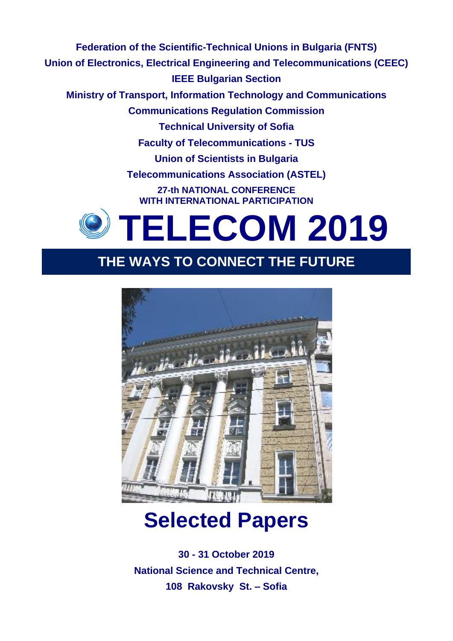**Federation of the Scientific-Technical Unions in Bulgaria (FNTS) Union of Electronics, Electrical Engineering and Telecommunications (CEEC) IEEE Bulgarian Section**

**Ministry of Transport, Information Technology and Communications**

**Communications Regulation Commission**

**Technical University of Sofia**

**Faculty of Telecommunications - TUS**

**Union of Scientists in Bulgaria**

**Telecommunications Association (ASTEL)**

**27-th NATIONAL CONFERENCE WITH INTERNATIONAL PARTICIPATION**

# **TELECOM 2019**

#### **THE WAYS TO CONNECT THE FUTURE**



# **Selected Papers**

**30 - 31 October 2019 National Science and Technical Centre, 108 Rakovsky St. – Sofia**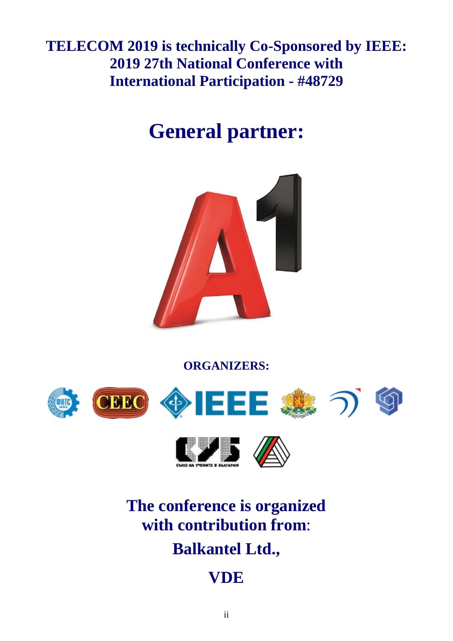**TELECOM 2019 is technically Co-Sponsored by IEEE: 2019 27th National Conference with International Participation - #48729**

## **General partner:**



**ORGANIZERS:**





## **The conference is organized with contribution from**: **Balkantel Ltd.,**

### **VDE**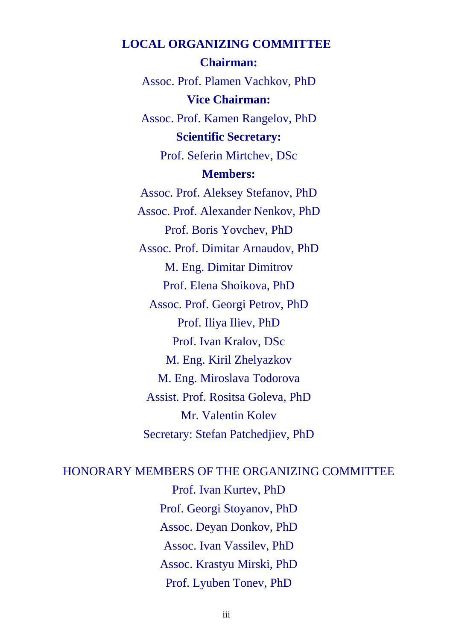**LOCAL ORGANIZING COMMITTEE Chairman:** Assoc. Prof. Plamen Vachkov, PhD **Vice Chairman:** Assoc. Prof. Kamen Rangelov, PhD **Scientific Secretary:** Prof. Seferin Mirtchev, DSc **Members:** Assoc. Prof. Aleksey Stefanov, PhD Assoc. Prof. Alexander Nenkov, PhD Prof. Boris Yovchev, PhD Assoc. Prof. Dimitar Arnaudov, PhD M. Eng. Dimitar Dimitrov Prof. Elena Shoikova, PhD Assoc. Prof. Georgi Petrov, PhD Prof. Iliya Iliev, PhD Prof. Ivan Kralov, DSc M. Eng. Kiril Zhelyazkov M. Eng. Miroslava Todorova Assist. Prof. Rositsa Goleva, PhD Mr. Valentin Kolev Secretary: Stefan Patchedjiev, PhD

#### HONORARY MEMBERS OF THE ORGANIZING COMMITTEE

Prof. Ivan Kurtev, PhD Prof. Georgi Stoyanov, PhD Assoc. Deyan Donkov, PhD Assoc. Ivan Vassilev, PhD Assoc. Krastyu Mirski, PhD Prof. Lyuben Tonev, PhD